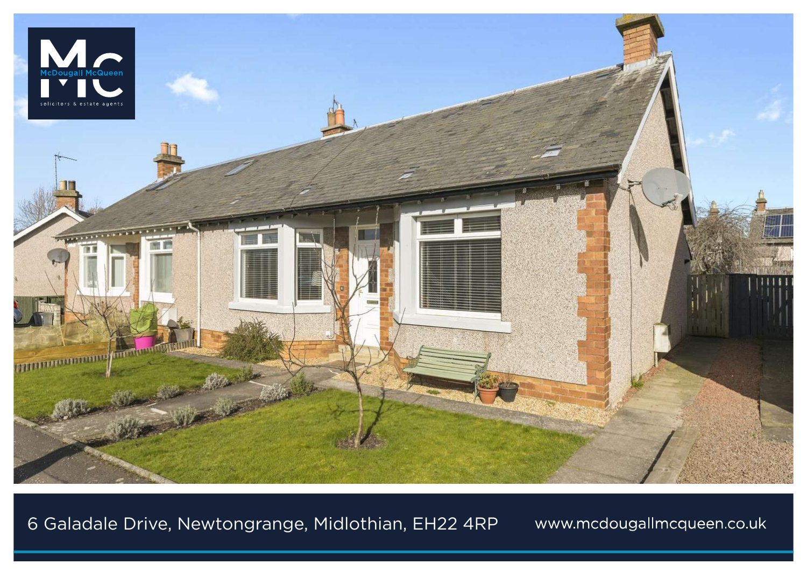

6 Galadale Drive, Newtongrange, Midlothian, EH22 4RP

www.mcdougallmcqueen.co.uk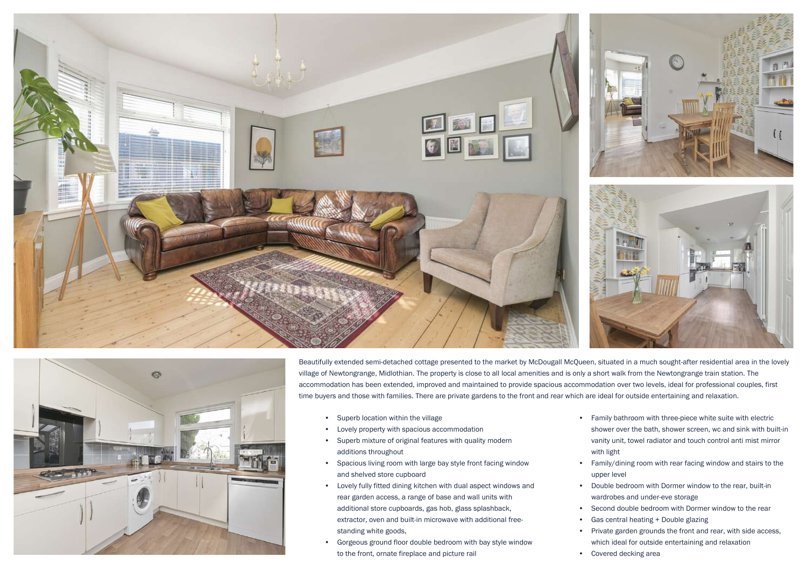



Beautifully extended semi-detached cottage presented to the market by McDougall McQueen, situated in a much sought-after residential area in the lovely village of Newtongrange, Midlothian. The property is close to all local amenities and is only a short walk from the Newtongrange train station. The accommodation has been extended, improved and maintained to provide spacious accommodation over two levels, ideal for professional couples, first time buyers and those with families. There are private gardens to the front and rear which are ideal for outside entertaining and relaxation.

- Superb location within the village
- Lovely property with spacious accommodation
- Superb mixture of original features with quality modern additions throughout
- Spacious living room with large bay style front facing window and shelved store cupboard
- Lovely fully fitted dining kitchen with dual aspect windows and rear garden access, a range of base and wall units with additional store cupboards, gas hob, glass splashback, extractor, oven and built-in microwave with additional freestanding white goods,
- Gorgeous ground floor double bedroom with bay style window to the front, ornate fireplace and picture rail
- Family bathroom with three-piece white suite with electric shower over the bath, shower screen, wc and sink with built-in vanity unit, towel radiator and touch control anti mist mirror with light
- Family/dining room with rear facing window and stairs to the upper level
- Double bedroom with Dormer window to the rear, built-in wardrobes and under-eve storage
- Second double bedroom with Dormer window to the rear
- Gas central heating + Double glazing
- Private garden grounds the front and rear, with side access, which ideal for outside entertaining and relaxation
- Covered decking area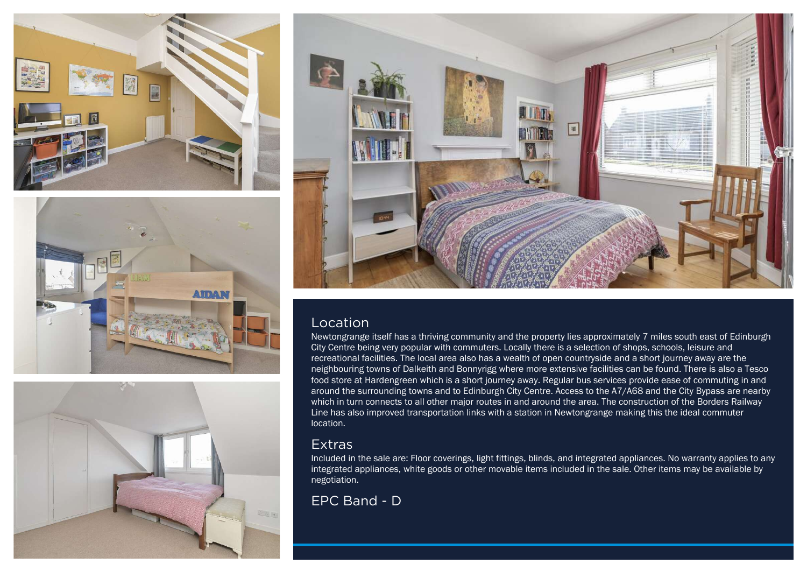







## Location

Newtongrange itself has a thriving community and the property lies approximately 7 miles south east of Edinburgh City Centre being very popular with commuters. Locally there is a selection of shops, schools, leisure and recreational facilities. The local area also has a wealth of open countryside and a short journey away are the neighbouring towns of Dalkeith and Bonnyrigg where more extensive facilities can be found. There is also a Tesco food store at Hardengreen which is a short journey away. Regular bus services provide ease of commuting in and around the surrounding towns and to Edinburgh City Centre. Access to the A7/A68 and the City Bypass are nearby which in turn connects to all other major routes in and around the area. The construction of the Borders Railway Line has also improved transportation links with a station in Newtongrange making this the ideal commuter location.

## **Extras**

Included in the sale are: Floor coverings, light fittings, blinds, and integrated appliances. No warranty applies to any integrated appliances, white goods or other movable items included in the sale. Other items may be available by negotiation.

## EPC Band - D